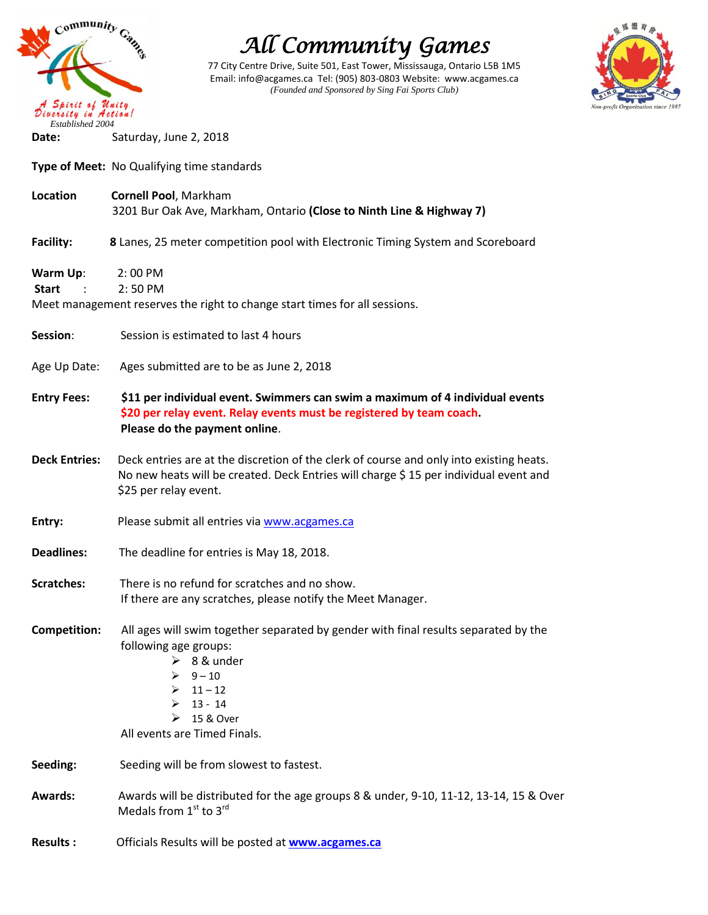

77 City Centre Drive, Suite 501, East Tower, Mississauga, Ontario L5B 1M5 Email: info@acgames.ca Tel: (905) 803-0803 Website: www.acgames.ca *(Founded and Sponsored by Sing Fai Sports Club)*



**Date:** Saturday, June 2, 2018

**Type of Meet:** No Qualifying time standards

- **Location Cornell Pool**, Markham 3201 Bur Oak Ave, Markham, Ontario **(Close to Ninth Line & Highway 7)**
- **Facility:** 8 Lanes, 25 meter competition pool with Electronic Timing System and Scoreboard
- **Warm Up**: 2: 00 PM **Start** : 2: 50 PM Meet management reserves the right to change start times for all sessions.

**Session**: Session is estimated to last 4 hours

- Age Up Date: Ages submitted are to be as June 2, 2018
- **Entry Fees: \$11 per individual event. Swimmers can swim a maximum of 4 individual events \$20 per relay event. Relay events must be registered by team coach. Please do the payment online**.
- **Deck Entries:** Deck entries are at the discretion of the clerk of course and only into existing heats. No new heats will be created. Deck Entries will charge \$15 per individual event and \$25 per relay event.
- **Entry:** Please submit all entries via [www.acgames.ca](http://www.acgames.ca/)
- **Deadlines:** The deadline for entries is May 18, 2018.
- **Scratches:** There is no refund for scratches and no show. If there are any scratches, please notify the Meet Manager.
- **Competition:** All ages will swim together separated by gender with final results separated by the following age groups:
	- $\geq 8$ & under
	- $\geq 9 10$
	- $11 12$
	- 13 14
	- $\geq 15$  & Over
	- All events are Timed Finals.
- **Seeding:** Seeding will be from slowest to fastest.
- **Awards:** Awards will be distributed for the age groups 8 & under, 9-10, 11-12, 13-14, 15 & Over Medals from  $1<sup>st</sup>$  to  $3<sup>rd</sup>$
- **Results :** Officials Results will be posted at **[www.acgames.ca](http://www.acgames.ca/)**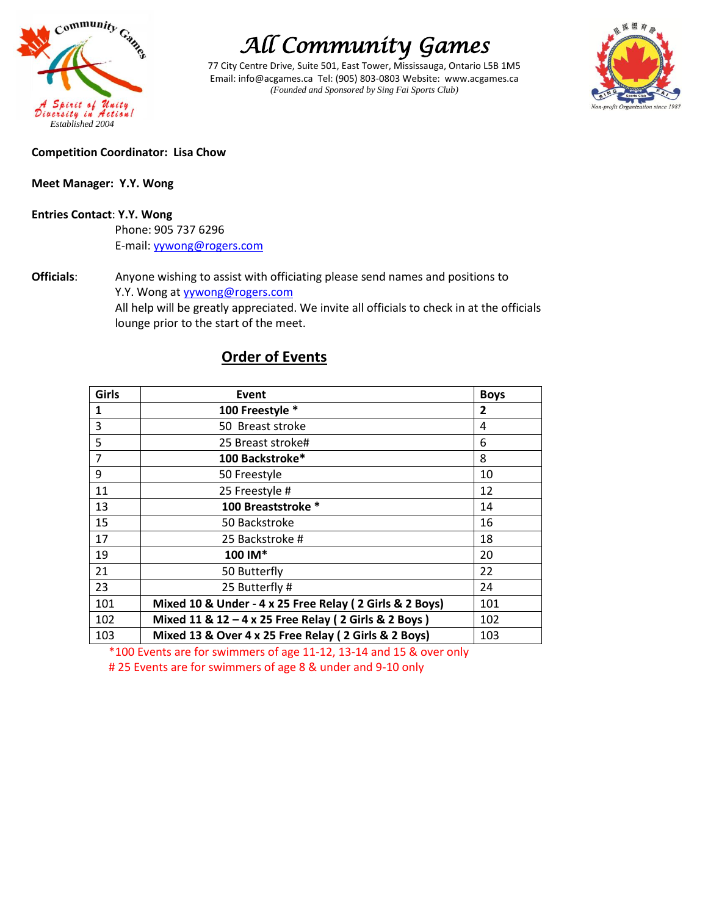

77 City Centre Drive, Suite 501, East Tower, Mississauga, Ontario L5B 1M5 Email: info@acgames.ca Tel: (905) 803-0803 Website: www.acgames.ca *(Founded and Sponsored by Sing Fai Sports Club)*



### **Competition Coordinator: Lisa Chow**

### **Meet Manager: Y.Y. Wong**

#### **Entries Contact**: **Y.Y. Wong**

 Phone: 905 737 6296 E-mail[: yywong@rogers.com](mailto:yywong@rogers.com)

**Officials**: Anyone wishing to assist with officiating please send names and positions to Y.Y. Wong at **yywong@rogers.com**  All help will be greatly appreciated. We invite all officials to check in at the officials lounge prior to the start of the meet.

| Girls          | Event                                                   | <b>Boys</b> |
|----------------|---------------------------------------------------------|-------------|
| 1              | 100 Freestyle *                                         | 2           |
| 3              | 50 Breast stroke                                        | 4           |
| 5              | 25 Breast stroke#                                       | 6           |
| $\overline{7}$ | 100 Backstroke*                                         | 8           |
| 9              | 50 Freestyle                                            | 10          |
| 11             | 25 Freestyle #                                          | 12          |
| 13             | 100 Breaststroke *                                      | 14          |
| 15             | 50 Backstroke                                           | 16          |
| 17             | 25 Backstroke #                                         | 18          |
| 19             | 100 IM*                                                 | 20          |
| 21             | 50 Butterfly                                            | 22          |
| 23             | 25 Butterfly #                                          | 24          |
| 101            | Mixed 10 & Under - 4 x 25 Free Relay (2 Girls & 2 Boys) | 101         |
| 102            | Mixed 11 & 12 - 4 x 25 Free Relay (2 Girls & 2 Boys)    | 102         |
| 103            | Mixed 13 & Over 4 x 25 Free Relay (2 Girls & 2 Boys)    | 103         |

## **Order of Events**

\*100 Events are for swimmers of age 11-12, 13-14 and 15 & over only

# 25 Events are for swimmers of age 8 & under and 9-10 only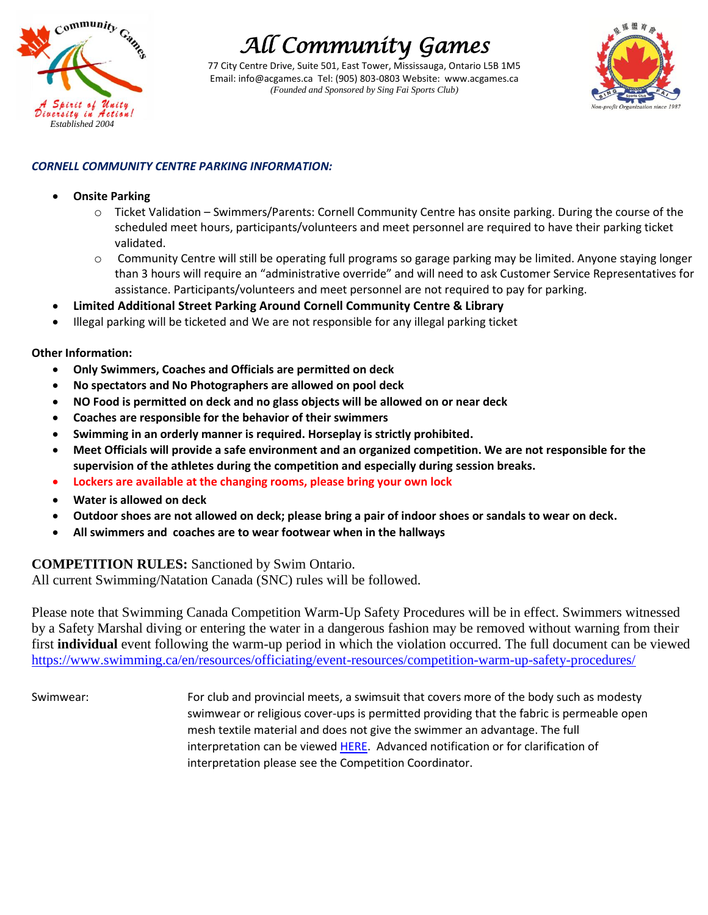

77 City Centre Drive, Suite 501, East Tower, Mississauga, Ontario L5B 1M5 Email: info@acgames.ca Tel: (905) 803-0803 Website: www.acgames.ca *(Founded and Sponsored by Sing Fai Sports Club)*



### *CORNELL COMMUNITY CENTRE PARKING INFORMATION:*

### **Onsite Parking**

- $\circ$  Ticket Validation Swimmers/Parents: Cornell Community Centre has onsite parking. During the course of the scheduled meet hours, participants/volunteers and meet personnel are required to have their parking ticket validated.
- o Community Centre will still be operating full programs so garage parking may be limited. Anyone staying longer than 3 hours will require an "administrative override" and will need to ask Customer Service Representatives for assistance. Participants/volunteers and meet personnel are not required to pay for parking.
- **Limited Additional Street Parking Around Cornell Community Centre & Library**
- Illegal parking will be ticketed and We are not responsible for any illegal parking ticket

### **Other Information:**

- **Only Swimmers, Coaches and Officials are permitted on deck**
- **No spectators and No Photographers are allowed on pool deck**
- **NO Food is permitted on deck and no glass objects will be allowed on or near deck**
- **Coaches are responsible for the behavior of their swimmers**
- **Swimming in an orderly manner is required. Horseplay is strictly prohibited.**
- **Meet Officials will provide a safe environment and an organized competition. We are not responsible for the supervision of the athletes during the competition and especially during session breaks.**
- **Lockers are available at the changing rooms, please bring your own lock**
- **Water is allowed on deck**
- **Outdoor shoes are not allowed on deck; please bring a pair of indoor shoes or sandals to wear on deck.**
- **All swimmers and coaches are to wear footwear when in the hallways**

### **COMPETITION RULES:** Sanctioned by Swim Ontario.

All current Swimming/Natation Canada (SNC) rules will be followed.

Please note that Swimming Canada Competition Warm-Up Safety Procedures will be in effect. Swimmers witnessed by a Safety Marshal diving or entering the water in a dangerous fashion may be removed without warning from their first **individual** event following the warm-up period in which the violation occurred. The full document can be viewed <https://www.swimming.ca/en/resources/officiating/event-resources/competition-warm-up-safety-procedures/>

Swimwear: For club and provincial meets, a swimsuit that covers more of the body such as modesty swimwear or religious cover-ups is permitted providing that the fabric is permeable open mesh textile material and does not give the swimmer an advantage. The full interpretation can be viewed [HERE.](http://swimontario.com/uploads/Officials/Resources/SNC_Swimwear_Interpretation_2017.pdf) Advanced notification or for clarification of interpretation please see the Competition Coordinator.